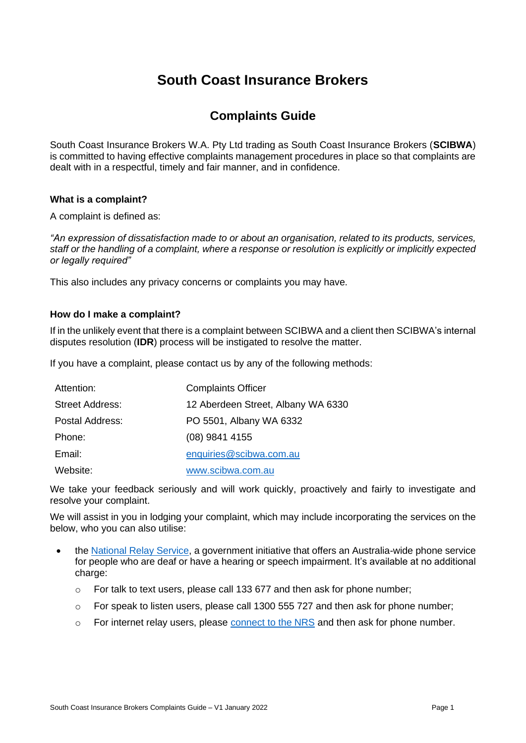# **South Coast Insurance Brokers**

# **Complaints Guide**

South Coast Insurance Brokers W.A. Pty Ltd trading as South Coast Insurance Brokers (**SCIBWA**) is committed to having effective complaints management procedures in place so that complaints are dealt with in a respectful, timely and fair manner, and in confidence.

# **What is a complaint?**

A complaint is defined as:

*"An expression of dissatisfaction made to or about an organisation, related to its products, services, staff or the handling of a complaint, where a response or resolution is explicitly or implicitly expected or legally required"* 

This also includes any privacy concerns or complaints you may have.

# **How do I make a complaint?**

If in the unlikely event that there is a complaint between SCIBWA and a client then SCIBWA's internal disputes resolution (**IDR**) process will be instigated to resolve the matter.

If you have a complaint, please contact us by any of the following methods:

| Attention:             | <b>Complaints Officer</b>          |
|------------------------|------------------------------------|
| <b>Street Address:</b> | 12 Aberdeen Street, Albany WA 6330 |
| Postal Address:        | PO 5501, Albany WA 6332            |
| Phone:                 | $(08)$ 9841 4155                   |
| Email:                 | enquiries@scibwa.com.au            |
| Website:               | www.scibwa.com.au                  |

We take your feedback seriously and will work quickly, proactively and fairly to investigate and resolve your complaint.

We will assist in you in lodging your complaint, which may include incorporating the services on the below, who you can also utilise:

- the [National Relay Service,](https://www.communications.gov.au/what-we-do/phone/services-people-disability/accesshub) a government initiative that offers an Australia-wide phone service for people who are deaf or have a hearing or speech impairment. It's available at no additional charge:
	- $\circ$  For talk to text users, please call 133 677 and then ask for phone number;
	- $\circ$  For speak to listen users, please call 1300 555 727 and then ask for phone number;
	- o For internet relay users, please [connect to the NRS](https://www.communications.gov.au/what-we-do/phone/services-people-disability/accesshub) and then ask for phone number.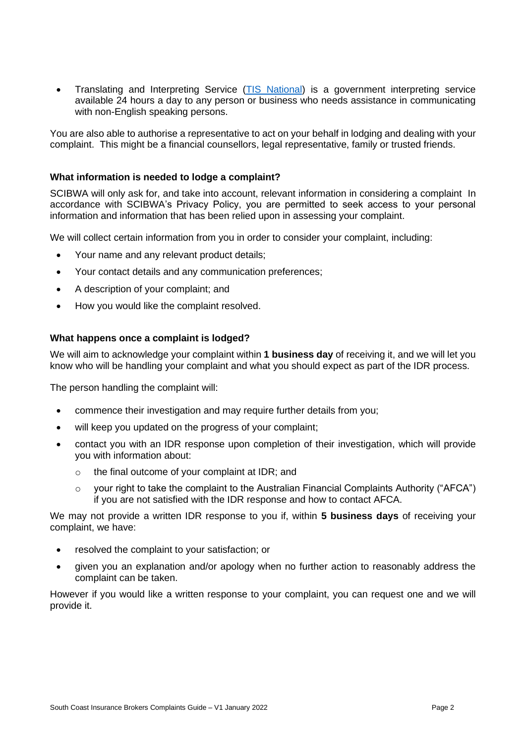• Translating and Interpreting Service [\(TIS National\)](http://www.tisnational.gov.au/) is a government interpreting service available 24 hours a day to any person or business who needs assistance in communicating with non-English speaking persons.

You are also able to authorise a representative to act on your behalf in lodging and dealing with your complaint. This might be a financial counsellors, legal representative, family or trusted friends.

# **What information is needed to lodge a complaint?**

SCIBWA will only ask for, and take into account, relevant information in considering a complaint In accordance with SCIBWA's Privacy Policy, you are permitted to seek access to your personal information and information that has been relied upon in assessing your complaint.

We will collect certain information from you in order to consider your complaint, including:

- Your name and any relevant product details;
- Your contact details and any communication preferences;
- A description of your complaint; and
- How you would like the complaint resolved.

# **What happens once a complaint is lodged?**

We will aim to acknowledge your complaint within **1 business day** of receiving it, and we will let you know who will be handling your complaint and what you should expect as part of the IDR process.

The person handling the complaint will:

- commence their investigation and may require further details from you;
- will keep you updated on the progress of your complaint;
- contact you with an IDR response upon completion of their investigation, which will provide you with information about:
	- o the final outcome of your complaint at IDR; and
	- $\circ$  vour right to take the complaint to the Australian Financial Complaints Authority ("AFCA") if you are not satisfied with the IDR response and how to contact AFCA.

We may not provide a written IDR response to you if, within **5 business days** of receiving your complaint, we have:

- resolved the complaint to your satisfaction; or
- given you an explanation and/or apology when no further action to reasonably address the complaint can be taken.

However if you would like a written response to your complaint, you can request one and we will provide it.